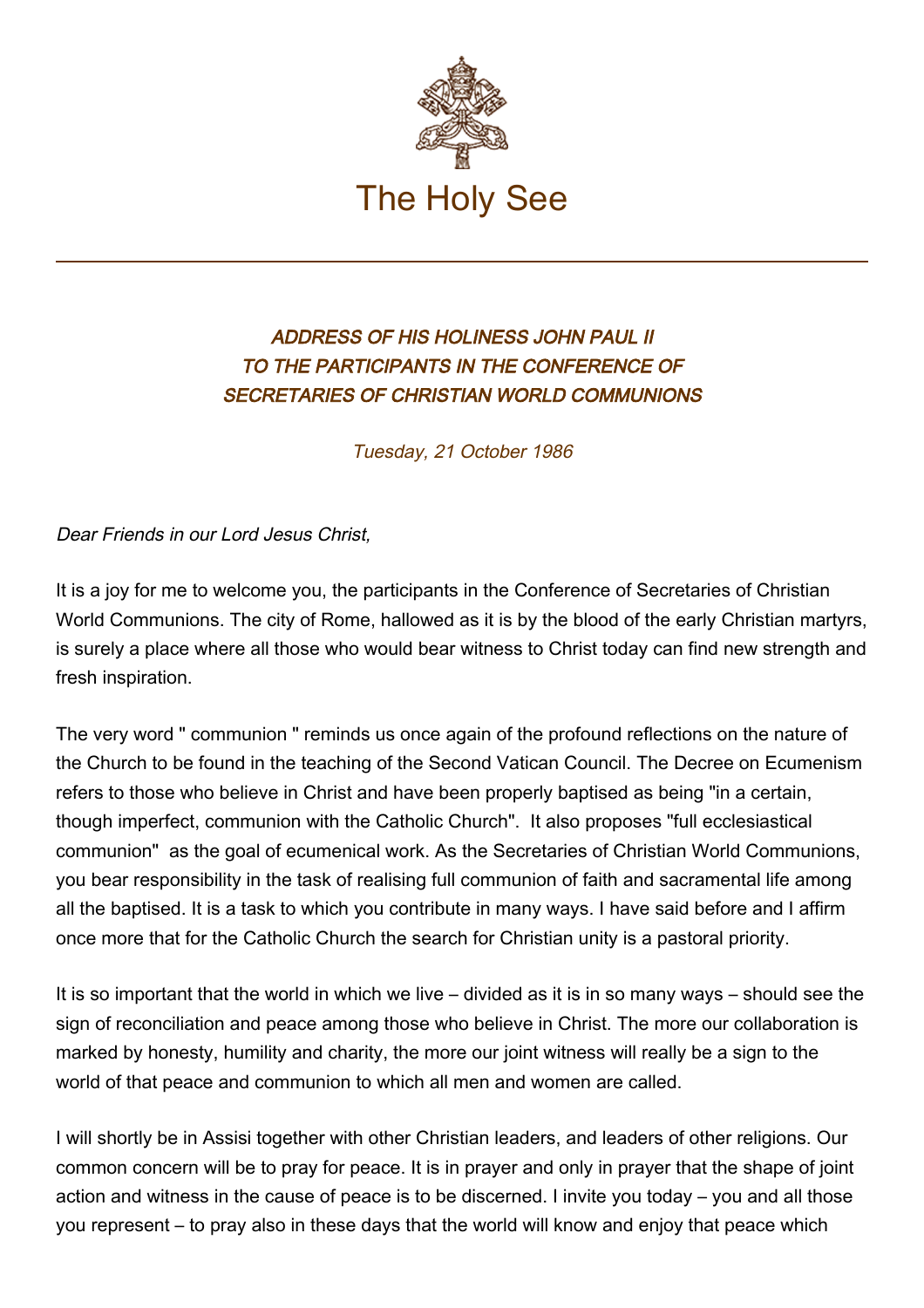

## ADDRESS OF HIS HOLINESS JOHN PAUL II TO THE PARTICIPANTS IN THE CONFERENCE OF SECRETARIES OF CHRISTIAN WORLD COMMUNIONS

Tuesday, 21 October 1986

Dear Friends in our Lord Jesus Christ,

It is a joy for me to welcome you, the participants in the Conference of Secretaries of Christian World Communions. The city of Rome, hallowed as it is by the blood of the early Christian martyrs, is surely a place where all those who would bear witness to Christ today can find new strength and fresh inspiration.

The very word " communion " reminds us once again of the profound reflections on the nature of the Church to be found in the teaching of the Second Vatican Council. The Decree on Ecumenism refers to those who believe in Christ and have been properly baptised as being "in a certain, though imperfect, communion with the Catholic Church". It also proposes "full ecclesiastical communion" as the goal of ecumenical work. As the Secretaries of Christian World Communions, you bear responsibility in the task of realising full communion of faith and sacramental life among all the baptised. It is a task to which you contribute in many ways. I have said before and I affirm once more that for the Catholic Church the search for Christian unity is a pastoral priority.

It is so important that the world in which we live – divided as it is in so many ways – should see the sign of reconciliation and peace among those who believe in Christ. The more our collaboration is marked by honesty, humility and charity, the more our joint witness will really be a sign to the world of that peace and communion to which all men and women are called.

I will shortly be in Assisi together with other Christian leaders, and leaders of other religions. Our common concern will be to pray for peace. It is in prayer and only in prayer that the shape of joint action and witness in the cause of peace is to be discerned. I invite you today – you and all those you represent – to pray also in these days that the world will know and enjoy that peace which